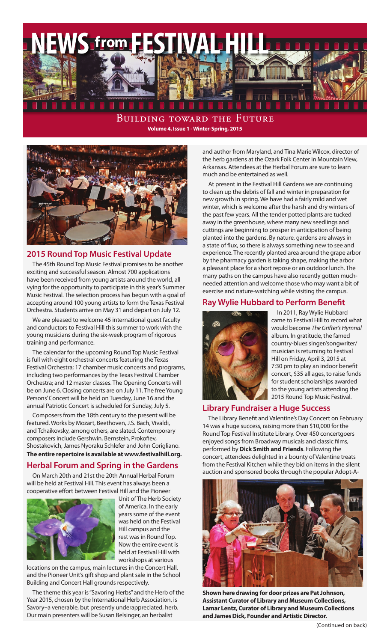

Building toward the Future **Volume 4, Issue 1 - Winter-Spring, 2015**



#### **2015 Round Top Music Festival Update**

The 45th Round Top Music Festival promises to be another exciting and successful season. Almost 700 applications have been received from young artists around the world, all vying for the opportunity to participate in this year's Summer Music Festival. The selection process has begun with a goal of accepting around 100 young artists to form the Texas Festival Orchestra. Students arrive on May 31 and depart on July 12.

We are pleased to welcome 45 international guest faculty and conductors to Festival Hill this summer to work with the young musicians during the six-week program of rigorous training and performance.

The calendar for the upcoming Round Top Music Festival is full with eight orchestral concerts featuring the Texas Festival Orchestra; 17 chamber music concerts and programs, including two performances by the Texas Festival Chamber Orchestra; and 12 master classes. The Opening Concerts will be on June 6. Closing concerts are on July 11. The free Young Persons' Concert will be held on Tuesday, June 16 and the annual Patriotic Concert is scheduled for Sunday, July 5.

Composers from the 18th century to the present will be featured. Works by Mozart, Beethoven, J.S. Bach, Vivaldi, and Tchaikovsky, among others, are slated. Contemporary composers include Gershwin, Bernstein, Prokofiev, Shostakovich, James Nyoraku Schlefer and John Corigliano. **The entire repertoire is available at www.festivalhill.org.**

# **Herbal Forum and Spring in the Gardens**

On March 20th and 21st the 20th Annual Herbal Forum will be held at Festival Hill. This event has always been a cooperative effort between Festival Hill and the Pioneer



Unit of The Herb Society of America. In the early years some of the event was held on the Festival Hill campus and the rest was in Round Top. Now the entire event is held at Festival Hill with workshops at various

locations on the campus, main lectures in the Concert Hall, and the Pioneer Unit's gift shop and plant sale in the School Building and Concert Hall grounds respectively.

The theme this year is "Savoring Herbs" and the Herb of the Year 2015, chosen by the International Herb Association, is Savory–a venerable, but presently underappreciated, herb. Our main presenters will be Susan Belsinger, an herbalist

and author from Maryland, and Tina Marie Wilcox, director of the herb gardens at the Ozark Folk Center in Mountain View, Arkansas. Attendees at the Herbal Forum are sure to learn much and be entertained as well.

At present in the Festival Hill Gardens we are continuing to clean up the debris of fall and winter in preparation for new growth in spring. We have had a fairly mild and wet winter, which is welcome after the harsh and dry winters of the past few years. All the tender potted plants are tucked away in the greenhouse, where many new seedlings and cuttings are beginning to prosper in anticipation of being planted into the gardens. By nature, gardens are always in a state of flux, so there is always something new to see and experience. The recently planted area around the grape arbor by the pharmacy garden is taking shape, making the arbor a pleasant place for a short repose or an outdoor lunch. The many paths on the campus have also recently gotten muchneeded attention and welcome those who may want a bit of exercise and nature-watching while visiting the campus.

# **Ray Wylie Hubbard to Perform Benefit**



In 2011, Ray Wylie Hubbard came to Festival Hill to record what would become *The Grifter's Hymnal* album. In gratitude, the famed country-blues singer/songwriter/ musician is returning to Festival Hill on Friday, April 3, 2015 at 7:30 pm to play an indoor benefit concert, \$35 all ages, to raise funds for student scholarships awarded to the young artists attending the 2015 Round Top Music Festival.

#### **Library Fundraiser a Huge Success**

The Library Benefit and Valentine's Day Concert on February 14 was a huge success, raising more than \$10,000 for the Round Top Festival Institute Library. Over 450 concertgoers enjoyed songs from Broadway musicals and classic films, performed by **Dick Smith and Friends**. Following the concert, attendees delighted in a bounty of Valentine treats from the Festival Kitchen while they bid on items in the silent auction and sponsored books through the popular Adopt-A-



**Shown here drawing for door prizes are Pat Johnson, Assistant Curator of Library and Museum Collections, Lamar Lentz, Curator of Library and Museum Collections and James Dick, Founder and Artistic Director.**